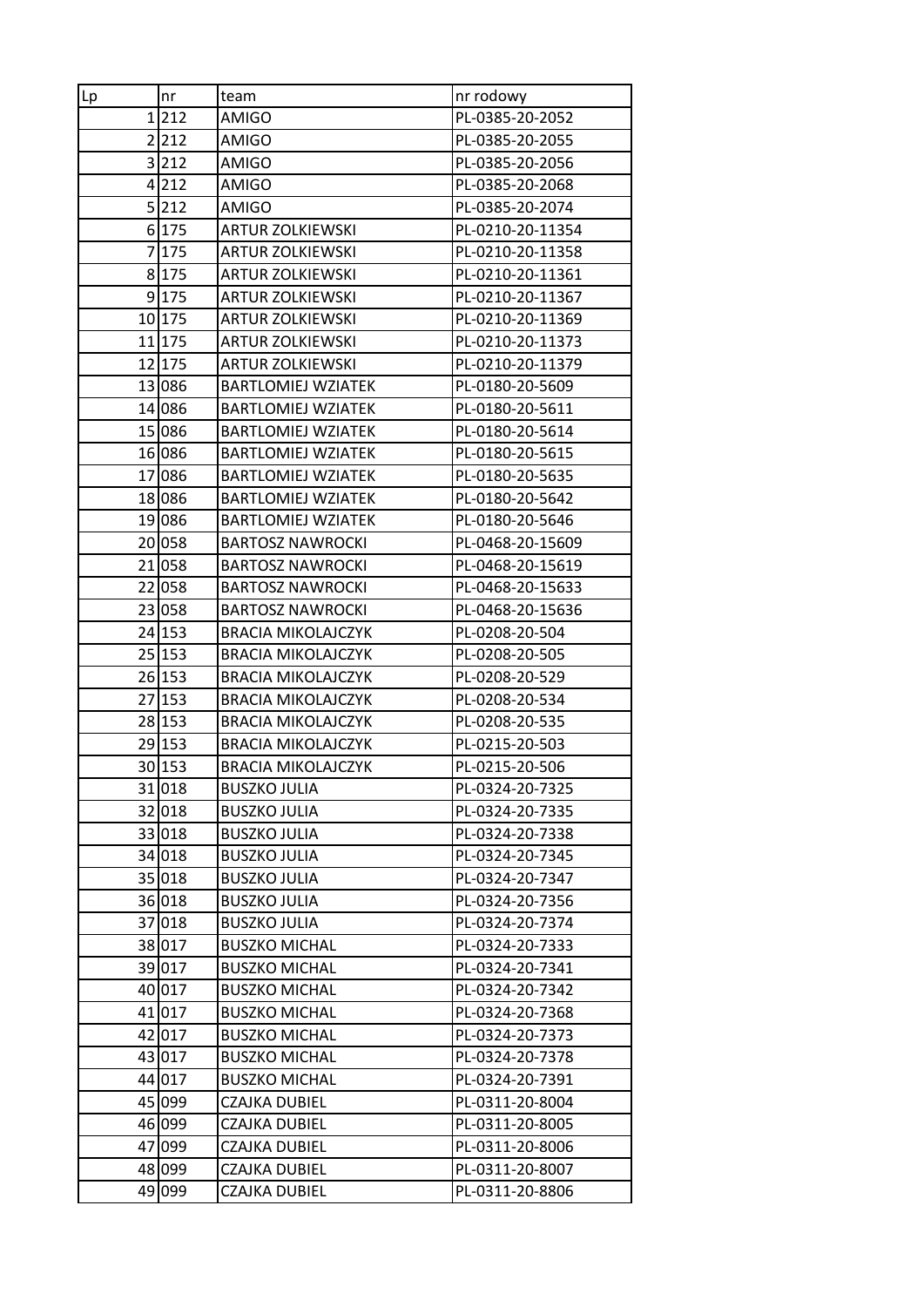| nr<br>Lp | team                      | nr rodowy        |
|----------|---------------------------|------------------|
| 1212     | <b>AMIGO</b>              | PL-0385-20-2052  |
| 2 212    | <b>AMIGO</b>              | PL-0385-20-2055  |
| 3 212    | AMIGO                     | PL-0385-20-2056  |
| 4 212    | <b>AMIGO</b>              | PL-0385-20-2068  |
| 5 212    | AMIGO                     | PL-0385-20-2074  |
| 6 175    | <b>ARTUR ZOLKIEWSKI</b>   | PL-0210-20-11354 |
| 7 175    | <b>ARTUR ZOLKIEWSKI</b>   | PL-0210-20-11358 |
| 8 175    | <b>ARTUR ZOLKIEWSKI</b>   | PL-0210-20-11361 |
| 9 175    | <b>ARTUR ZOLKIEWSKI</b>   | PL-0210-20-11367 |
| 10 175   | <b>ARTUR ZOLKIEWSKI</b>   | PL-0210-20-11369 |
| 11 175   | <b>ARTUR ZOLKIEWSKI</b>   | PL-0210-20-11373 |
| 12 175   | <b>ARTUR ZOLKIEWSKI</b>   | PL-0210-20-11379 |
| 13 086   | <b>BARTLOMIEJ WZIATEK</b> | PL-0180-20-5609  |
| 14 086   | <b>BARTLOMIEJ WZIATEK</b> | PL-0180-20-5611  |
| 15 086   | <b>BARTLOMIEJ WZIATEK</b> | PL-0180-20-5614  |
| 16 086   | <b>BARTLOMIEJ WZIATEK</b> | PL-0180-20-5615  |
| 17 086   | <b>BARTLOMIEJ WZIATEK</b> | PL-0180-20-5635  |
| 18 086   | <b>BARTLOMIEJ WZIATEK</b> | PL-0180-20-5642  |
| 19 086   | <b>BARTLOMIEJ WZIATEK</b> | PL-0180-20-5646  |
| 20 058   | <b>BARTOSZ NAWROCKI</b>   | PL-0468-20-15609 |
| 21 058   | <b>BARTOSZ NAWROCKI</b>   | PL-0468-20-15619 |
| 22 058   | <b>BARTOSZ NAWROCKI</b>   | PL-0468-20-15633 |
| 23 058   | <b>BARTOSZ NAWROCKI</b>   | PL-0468-20-15636 |
| 24 153   | <b>BRACIA MIKOLAJCZYK</b> | PL-0208-20-504   |
| 25 153   | <b>BRACIA MIKOLAJCZYK</b> | PL-0208-20-505   |
| 26 153   | <b>BRACIA MIKOLAJCZYK</b> | PL-0208-20-529   |
| 27 153   | <b>BRACIA MIKOLAJCZYK</b> | PL-0208-20-534   |
| 28 153   | <b>BRACIA MIKOLAJCZYK</b> | PL-0208-20-535   |
| 29 153   | <b>BRACIA MIKOLAJCZYK</b> | PL-0215-20-503   |
| 30 153   | <b>BRACIA MIKOLAJCZYK</b> | PL-0215-20-506   |
| 31 018   | <b>BUSZKO JULIA</b>       | PL-0324-20-7325  |
| 32 018   | <b>BUSZKO JULIA</b>       | PL-0324-20-7335  |
| 33 018   | <b>BUSZKO JULIA</b>       | PL-0324-20-7338  |
| 34 018   | <b>BUSZKO JULIA</b>       | PL-0324-20-7345  |
| 35 018   | <b>BUSZKO JULIA</b>       | PL-0324-20-7347  |
| 36 018   | <b>BUSZKO JULIA</b>       | PL-0324-20-7356  |
| 37 018   | <b>BUSZKO JULIA</b>       | PL-0324-20-7374  |
| 38 017   | <b>BUSZKO MICHAL</b>      | PL-0324-20-7333  |
| 39 017   | <b>BUSZKO MICHAL</b>      | PL-0324-20-7341  |
| 40 017   | <b>BUSZKO MICHAL</b>      | PL-0324-20-7342  |
| 41 017   | <b>BUSZKO MICHAL</b>      | PL-0324-20-7368  |
| 42 017   | <b>BUSZKO MICHAL</b>      | PL-0324-20-7373  |
| 43 017   | <b>BUSZKO MICHAL</b>      | PL-0324-20-7378  |
| 44 017   | <b>BUSZKO MICHAL</b>      | PL-0324-20-7391  |
| 45 099   | CZAJKA DUBIEL             | PL-0311-20-8004  |
| 46 099   | CZAJKA DUBIEL             | PL-0311-20-8005  |
| 47 099   | CZAJKA DUBIEL             | PL-0311-20-8006  |
| 48 099   | CZAJKA DUBIEL             | PL-0311-20-8007  |
| 49 099   | CZAJKA DUBIEL             | PL-0311-20-8806  |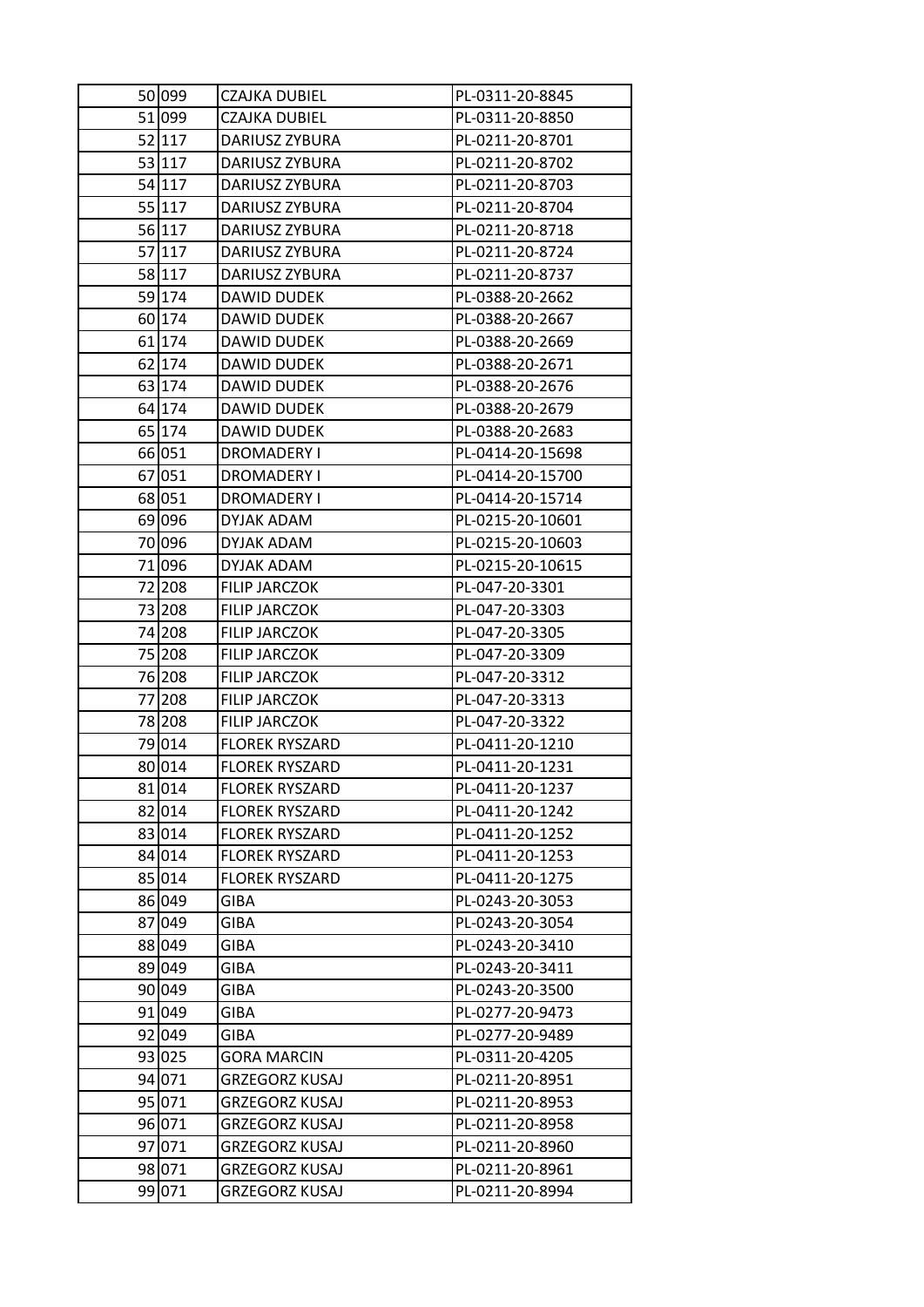| 50 099 | CZAJKA DUBIEL         | PL-0311-20-8845  |
|--------|-----------------------|------------------|
| 51 099 | <b>CZAJKA DUBIEL</b>  | PL-0311-20-8850  |
| 52 117 | DARIUSZ ZYBURA        | PL-0211-20-8701  |
| 53 117 | DARIUSZ ZYBURA        | PL-0211-20-8702  |
| 54 117 | DARIUSZ ZYBURA        | PL-0211-20-8703  |
| 55 117 | DARIUSZ ZYBURA        | PL-0211-20-8704  |
| 56 117 | DARIUSZ ZYBURA        | PL-0211-20-8718  |
| 57 117 | DARIUSZ ZYBURA        | PL-0211-20-8724  |
| 58 117 | DARIUSZ ZYBURA        | PL-0211-20-8737  |
| 59 174 | DAWID DUDEK           | PL-0388-20-2662  |
| 60 174 | DAWID DUDEK           | PL-0388-20-2667  |
| 61 174 | DAWID DUDEK           | PL-0388-20-2669  |
| 62 174 | DAWID DUDEK           | PL-0388-20-2671  |
| 63 174 | <b>DAWID DUDEK</b>    | PL-0388-20-2676  |
| 64 174 | DAWID DUDEK           | PL-0388-20-2679  |
| 65 174 | DAWID DUDEK           | PL-0388-20-2683  |
| 66 051 | <b>DROMADERY I</b>    | PL-0414-20-15698 |
| 67 051 | DROMADERY I           | PL-0414-20-15700 |
| 68 051 | DROMADERY I           | PL-0414-20-15714 |
| 69 096 | DYJAK ADAM            | PL-0215-20-10601 |
| 70 096 | DYJAK ADAM            | PL-0215-20-10603 |
| 71 096 | DYJAK ADAM            | PL-0215-20-10615 |
| 72 208 | <b>FILIP JARCZOK</b>  | PL-047-20-3301   |
| 73 208 | FILIP JARCZOK         | PL-047-20-3303   |
| 74 208 | <b>FILIP JARCZOK</b>  | PL-047-20-3305   |
| 75 208 | FILIP JARCZOK         | PL-047-20-3309   |
| 76 208 | <b>FILIP JARCZOK</b>  | PL-047-20-3312   |
| 77 208 | FILIP JARCZOK         | PL-047-20-3313   |
| 78 208 | FILIP JARCZOK         | PL-047-20-3322   |
| 79 014 | <b>FLOREK RYSZARD</b> | PL-0411-20-1210  |
| 80 014 | <b>FLOREK RYSZARD</b> | PL-0411-20-1231  |
| 81 014 | <b>FLOREK RYSZARD</b> | PL-0411-20-1237  |
| 82 014 | <b>FLOREK RYSZARD</b> | PL-0411-20-1242  |
| 83 014 | <b>FLOREK RYSZARD</b> | PL-0411-20-1252  |
| 84 014 | <b>FLOREK RYSZARD</b> | PL-0411-20-1253  |
| 85 014 | <b>FLOREK RYSZARD</b> | PL-0411-20-1275  |
| 86 049 | <b>GIBA</b>           | PL-0243-20-3053  |
| 87 049 | GIBA                  | PL-0243-20-3054  |
| 88 049 | GIBA                  | PL-0243-20-3410  |
| 89 049 | GIBA                  | PL-0243-20-3411  |
| 90 049 | GIBA                  | PL-0243-20-3500  |
| 91 049 | <b>GIBA</b>           | PL-0277-20-9473  |
| 92 049 | GIBA                  | PL-0277-20-9489  |
| 93 025 | <b>GORA MARCIN</b>    | PL-0311-20-4205  |
| 94 071 | <b>GRZEGORZ KUSAJ</b> | PL-0211-20-8951  |
| 95 071 | <b>GRZEGORZ KUSAJ</b> | PL-0211-20-8953  |
| 96 071 | <b>GRZEGORZ KUSAJ</b> | PL-0211-20-8958  |
| 97 071 | <b>GRZEGORZ KUSAJ</b> | PL-0211-20-8960  |
| 98 071 | <b>GRZEGORZ KUSAJ</b> | PL-0211-20-8961  |
| 99 071 | <b>GRZEGORZ KUSAJ</b> | PL-0211-20-8994  |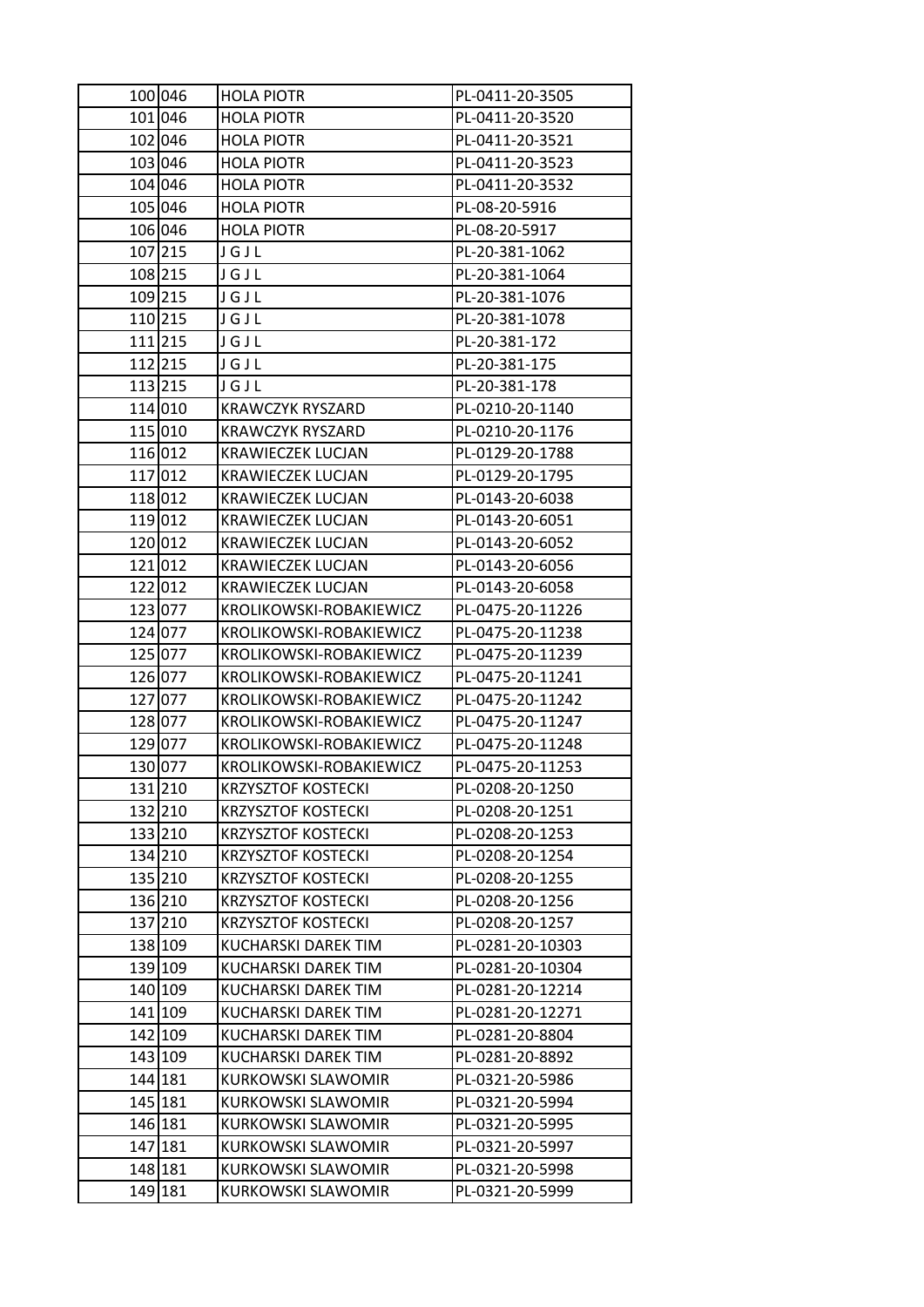| 100 046 | <b>HOLA PIOTR</b>         | PL-0411-20-3505  |
|---------|---------------------------|------------------|
| 101 046 | <b>HOLA PIOTR</b>         | PL-0411-20-3520  |
| 102 046 | <b>HOLA PIOTR</b>         | PL-0411-20-3521  |
| 103 046 | <b>HOLA PIOTR</b>         | PL-0411-20-3523  |
| 104 046 | <b>HOLA PIOTR</b>         | PL-0411-20-3532  |
| 105 046 | <b>HOLA PIOTR</b>         | PL-08-20-5916    |
| 106 046 | <b>HOLA PIOTR</b>         | PL-08-20-5917    |
| 107 215 | JGJL                      | PL-20-381-1062   |
| 108 215 | JGJL                      | PL-20-381-1064   |
| 109 215 | JGJL                      | PL-20-381-1076   |
| 110 215 | JGJL                      | PL-20-381-1078   |
| 111 215 | JGJL                      | PL-20-381-172    |
| 112 215 | JGJL                      | PL-20-381-175    |
| 113 215 | JGJL                      | PL-20-381-178    |
| 114 010 | <b>KRAWCZYK RYSZARD</b>   | PL-0210-20-1140  |
| 115 010 | <b>KRAWCZYK RYSZARD</b>   | PL-0210-20-1176  |
| 116 012 | <b>KRAWIECZEK LUCJAN</b>  | PL-0129-20-1788  |
| 117 012 | <b>KRAWIECZEK LUCJAN</b>  | PL-0129-20-1795  |
| 118 012 | <b>KRAWIECZEK LUCJAN</b>  | PL-0143-20-6038  |
| 119 012 | <b>KRAWIECZEK LUCJAN</b>  | PL-0143-20-6051  |
| 120 012 | <b>KRAWIECZEK LUCJAN</b>  | PL-0143-20-6052  |
| 121 012 | <b>KRAWIECZEK LUCJAN</b>  | PL-0143-20-6056  |
| 122 012 | <b>KRAWIECZEK LUCJAN</b>  | PL-0143-20-6058  |
| 123 077 | KROLIKOWSKI-ROBAKIEWICZ   | PL-0475-20-11226 |
| 124 077 | KROLIKOWSKI-ROBAKIEWICZ   | PL-0475-20-11238 |
| 125 077 | KROLIKOWSKI-ROBAKIEWICZ   | PL-0475-20-11239 |
| 126 077 | KROLIKOWSKI-ROBAKIEWICZ   | PL-0475-20-11241 |
| 127 077 | KROLIKOWSKI-ROBAKIEWICZ   | PL-0475-20-11242 |
| 128 077 | KROLIKOWSKI-ROBAKIEWICZ   | PL-0475-20-11247 |
| 129 077 | KROLIKOWSKI-ROBAKIEWICZ   | PL-0475-20-11248 |
| 130 077 | KROLIKOWSKI-ROBAKIEWICZ   | PL-0475-20-11253 |
| 131 210 | <b>KRZYSZTOF KOSTECKI</b> | PL-0208-20-1250  |
| 132 210 | <b>KRZYSZTOF KOSTECKI</b> | PL-0208-20-1251  |
| 133 210 | <b>KRZYSZTOF KOSTECKI</b> | PL-0208-20-1253  |
| 134 210 | <b>KRZYSZTOF KOSTECKI</b> | PL-0208-20-1254  |
| 135 210 | <b>KRZYSZTOF KOSTECKI</b> | PL-0208-20-1255  |
| 136 210 | <b>KRZYSZTOF KOSTECKI</b> | PL-0208-20-1256  |
| 137 210 | <b>KRZYSZTOF KOSTECKI</b> | PL-0208-20-1257  |
| 138 109 | KUCHARSKI DAREK TIM       | PL-0281-20-10303 |
| 139 109 | KUCHARSKI DAREK TIM       | PL-0281-20-10304 |
| 140 109 | KUCHARSKI DAREK TIM       | PL-0281-20-12214 |
| 141 109 | KUCHARSKI DAREK TIM       | PL-0281-20-12271 |
| 142 109 | KUCHARSKI DAREK TIM       | PL-0281-20-8804  |
| 143 109 | KUCHARSKI DAREK TIM       | PL-0281-20-8892  |
| 144 181 | KURKOWSKI SLAWOMIR        | PL-0321-20-5986  |
| 145 181 | <b>KURKOWSKI SLAWOMIR</b> | PL-0321-20-5994  |
| 146 181 | <b>KURKOWSKI SLAWOMIR</b> | PL-0321-20-5995  |
| 147 181 | KURKOWSKI SLAWOMIR        | PL-0321-20-5997  |
| 148 181 | <b>KURKOWSKI SLAWOMIR</b> | PL-0321-20-5998  |
| 149 181 | KURKOWSKI SLAWOMIR        | PL-0321-20-5999  |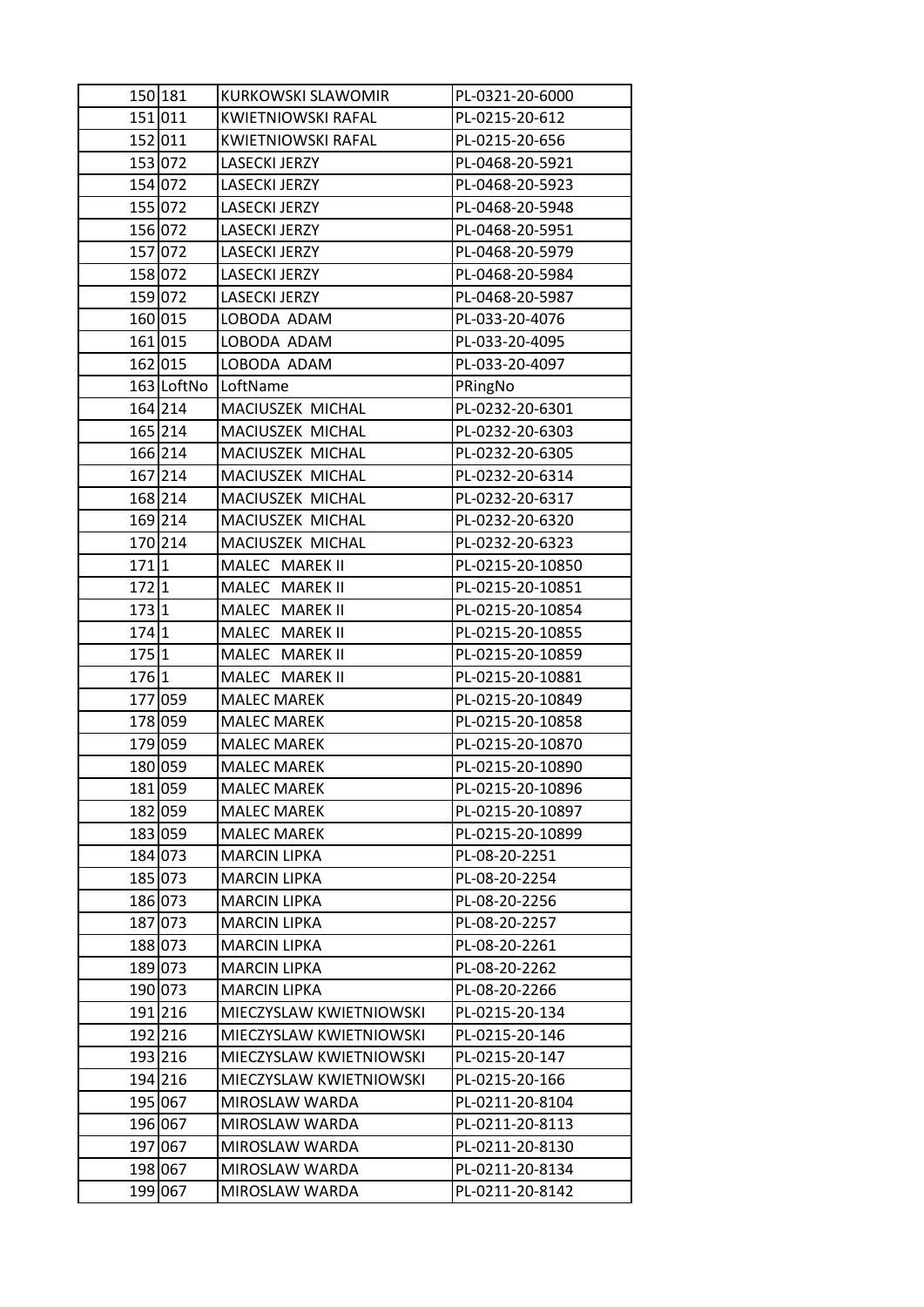| 151 011<br>KWIETNIOWSKI RAFAL<br>PL-0215-20-612<br>152 011<br><b>KWIETNIOWSKI RAFAL</b><br>PL-0215-20-656<br>153 072<br>LASECKI JERZY<br>PL-0468-20-5921<br>154 072<br><b>LASECKI JERZY</b><br>PL-0468-20-5923<br>155 072<br>LASECKI JERZY<br>PL-0468-20-5948<br>156 072<br>LASECKI JERZY<br>PL-0468-20-5951<br>157 072<br><b>LASECKI JERZY</b><br>PL-0468-20-5979<br>158 072<br>LASECKI JERZY<br>PL-0468-20-5984<br>159 072<br>LASECKI JERZY<br>PL-0468-20-5987<br>160 015<br>LOBODA ADAM<br>PL-033-20-4076<br>161 015<br>LOBODA ADAM<br>PL-033-20-4095<br>162 015<br>LOBODA ADAM<br>PL-033-20-4097<br>163 LoftNo LoftName<br>PRingNo<br>164 214<br>MACIUSZEK MICHAL<br>PL-0232-20-6301<br>165 214<br>MACIUSZEK MICHAL<br>PL-0232-20-6303<br>166 214<br>MACIUSZEK MICHAL<br>PL-0232-20-6305<br>167 214<br>MACIUSZEK MICHAL<br>PL-0232-20-6314<br>168 214<br>MACIUSZEK MICHAL<br>PL-0232-20-6317<br>169 214<br>MACIUSZEK MICHAL<br>PL-0232-20-6320<br>170 214<br>MACIUSZEK MICHAL<br>PL-0232-20-6323<br>171 1<br>MALEC MAREK II<br>PL-0215-20-10850<br>$172 1$<br>MALEC MAREK II<br>PL-0215-20-10851<br>173 1<br>MALEC MAREK II<br>PL-0215-20-10854<br>174 1<br>MALEC MAREK II<br>PL-0215-20-10855<br>175 1<br>MALEC MAREK II<br>PL-0215-20-10859<br>176 1<br>MALEC MAREK II<br>PL-0215-20-10881<br>177 059<br><b>MALEC MAREK</b><br>PL-0215-20-10849<br>178 059<br><b>MALEC MAREK</b><br>PL-0215-20-10858<br>179 059<br><b>MALEC MAREK</b><br>PL-0215-20-10870<br>180 059<br><b>MALEC MAREK</b><br>PL-0215-20-10890<br>PL-0215-20-10896<br>181 059<br><b>MALEC MAREK</b><br>182 059<br><b>MALEC MAREK</b><br>PL-0215-20-10897<br>183 059<br><b>MALEC MAREK</b><br>PL-0215-20-10899<br>184 073<br><b>MARCIN LIPKA</b><br>PL-08-20-2251<br>185 073<br><b>MARCIN LIPKA</b><br>PL-08-20-2254<br>186 073<br>PL-08-20-2256<br><b>MARCIN LIPKA</b><br>187 073<br><b>MARCIN LIPKA</b><br>PL-08-20-2257<br>188 073<br><b>MARCIN LIPKA</b><br>PL-08-20-2261<br>189 073<br><b>MARCIN LIPKA</b><br>PL-08-20-2262<br>190 073<br><b>MARCIN LIPKA</b><br>PL-08-20-2266<br>191 216<br>MIECZYSLAW KWIETNIOWSKI<br>PL-0215-20-134<br>192 216<br>MIECZYSLAW KWIETNIOWSKI<br>PL-0215-20-146<br>193 216<br>MIECZYSLAW KWIETNIOWSKI<br>PL-0215-20-147<br>194 216<br>MIECZYSLAW KWIETNIOWSKI<br>PL-0215-20-166<br>195 067<br>PL-0211-20-8104<br>MIROSLAW WARDA<br>196 067<br>MIROSLAW WARDA<br>PL-0211-20-8113<br>197 067<br>MIROSLAW WARDA<br>PL-0211-20-8130<br>198 067<br>MIROSLAW WARDA<br>PL-0211-20-8134 | 150 181 | KURKOWSKI SLAWOMIR | PL-0321-20-6000 |
|------------------------------------------------------------------------------------------------------------------------------------------------------------------------------------------------------------------------------------------------------------------------------------------------------------------------------------------------------------------------------------------------------------------------------------------------------------------------------------------------------------------------------------------------------------------------------------------------------------------------------------------------------------------------------------------------------------------------------------------------------------------------------------------------------------------------------------------------------------------------------------------------------------------------------------------------------------------------------------------------------------------------------------------------------------------------------------------------------------------------------------------------------------------------------------------------------------------------------------------------------------------------------------------------------------------------------------------------------------------------------------------------------------------------------------------------------------------------------------------------------------------------------------------------------------------------------------------------------------------------------------------------------------------------------------------------------------------------------------------------------------------------------------------------------------------------------------------------------------------------------------------------------------------------------------------------------------------------------------------------------------------------------------------------------------------------------------------------------------------------------------------------------------------------------------------------------------------------------------------------------------------------------------------------------------------------------------------------------------------------------------------------------------------------------------------------------------------------------------------|---------|--------------------|-----------------|
|                                                                                                                                                                                                                                                                                                                                                                                                                                                                                                                                                                                                                                                                                                                                                                                                                                                                                                                                                                                                                                                                                                                                                                                                                                                                                                                                                                                                                                                                                                                                                                                                                                                                                                                                                                                                                                                                                                                                                                                                                                                                                                                                                                                                                                                                                                                                                                                                                                                                                          |         |                    |                 |
|                                                                                                                                                                                                                                                                                                                                                                                                                                                                                                                                                                                                                                                                                                                                                                                                                                                                                                                                                                                                                                                                                                                                                                                                                                                                                                                                                                                                                                                                                                                                                                                                                                                                                                                                                                                                                                                                                                                                                                                                                                                                                                                                                                                                                                                                                                                                                                                                                                                                                          |         |                    |                 |
|                                                                                                                                                                                                                                                                                                                                                                                                                                                                                                                                                                                                                                                                                                                                                                                                                                                                                                                                                                                                                                                                                                                                                                                                                                                                                                                                                                                                                                                                                                                                                                                                                                                                                                                                                                                                                                                                                                                                                                                                                                                                                                                                                                                                                                                                                                                                                                                                                                                                                          |         |                    |                 |
|                                                                                                                                                                                                                                                                                                                                                                                                                                                                                                                                                                                                                                                                                                                                                                                                                                                                                                                                                                                                                                                                                                                                                                                                                                                                                                                                                                                                                                                                                                                                                                                                                                                                                                                                                                                                                                                                                                                                                                                                                                                                                                                                                                                                                                                                                                                                                                                                                                                                                          |         |                    |                 |
|                                                                                                                                                                                                                                                                                                                                                                                                                                                                                                                                                                                                                                                                                                                                                                                                                                                                                                                                                                                                                                                                                                                                                                                                                                                                                                                                                                                                                                                                                                                                                                                                                                                                                                                                                                                                                                                                                                                                                                                                                                                                                                                                                                                                                                                                                                                                                                                                                                                                                          |         |                    |                 |
|                                                                                                                                                                                                                                                                                                                                                                                                                                                                                                                                                                                                                                                                                                                                                                                                                                                                                                                                                                                                                                                                                                                                                                                                                                                                                                                                                                                                                                                                                                                                                                                                                                                                                                                                                                                                                                                                                                                                                                                                                                                                                                                                                                                                                                                                                                                                                                                                                                                                                          |         |                    |                 |
|                                                                                                                                                                                                                                                                                                                                                                                                                                                                                                                                                                                                                                                                                                                                                                                                                                                                                                                                                                                                                                                                                                                                                                                                                                                                                                                                                                                                                                                                                                                                                                                                                                                                                                                                                                                                                                                                                                                                                                                                                                                                                                                                                                                                                                                                                                                                                                                                                                                                                          |         |                    |                 |
|                                                                                                                                                                                                                                                                                                                                                                                                                                                                                                                                                                                                                                                                                                                                                                                                                                                                                                                                                                                                                                                                                                                                                                                                                                                                                                                                                                                                                                                                                                                                                                                                                                                                                                                                                                                                                                                                                                                                                                                                                                                                                                                                                                                                                                                                                                                                                                                                                                                                                          |         |                    |                 |
|                                                                                                                                                                                                                                                                                                                                                                                                                                                                                                                                                                                                                                                                                                                                                                                                                                                                                                                                                                                                                                                                                                                                                                                                                                                                                                                                                                                                                                                                                                                                                                                                                                                                                                                                                                                                                                                                                                                                                                                                                                                                                                                                                                                                                                                                                                                                                                                                                                                                                          |         |                    |                 |
|                                                                                                                                                                                                                                                                                                                                                                                                                                                                                                                                                                                                                                                                                                                                                                                                                                                                                                                                                                                                                                                                                                                                                                                                                                                                                                                                                                                                                                                                                                                                                                                                                                                                                                                                                                                                                                                                                                                                                                                                                                                                                                                                                                                                                                                                                                                                                                                                                                                                                          |         |                    |                 |
|                                                                                                                                                                                                                                                                                                                                                                                                                                                                                                                                                                                                                                                                                                                                                                                                                                                                                                                                                                                                                                                                                                                                                                                                                                                                                                                                                                                                                                                                                                                                                                                                                                                                                                                                                                                                                                                                                                                                                                                                                                                                                                                                                                                                                                                                                                                                                                                                                                                                                          |         |                    |                 |
|                                                                                                                                                                                                                                                                                                                                                                                                                                                                                                                                                                                                                                                                                                                                                                                                                                                                                                                                                                                                                                                                                                                                                                                                                                                                                                                                                                                                                                                                                                                                                                                                                                                                                                                                                                                                                                                                                                                                                                                                                                                                                                                                                                                                                                                                                                                                                                                                                                                                                          |         |                    |                 |
|                                                                                                                                                                                                                                                                                                                                                                                                                                                                                                                                                                                                                                                                                                                                                                                                                                                                                                                                                                                                                                                                                                                                                                                                                                                                                                                                                                                                                                                                                                                                                                                                                                                                                                                                                                                                                                                                                                                                                                                                                                                                                                                                                                                                                                                                                                                                                                                                                                                                                          |         |                    |                 |
|                                                                                                                                                                                                                                                                                                                                                                                                                                                                                                                                                                                                                                                                                                                                                                                                                                                                                                                                                                                                                                                                                                                                                                                                                                                                                                                                                                                                                                                                                                                                                                                                                                                                                                                                                                                                                                                                                                                                                                                                                                                                                                                                                                                                                                                                                                                                                                                                                                                                                          |         |                    |                 |
|                                                                                                                                                                                                                                                                                                                                                                                                                                                                                                                                                                                                                                                                                                                                                                                                                                                                                                                                                                                                                                                                                                                                                                                                                                                                                                                                                                                                                                                                                                                                                                                                                                                                                                                                                                                                                                                                                                                                                                                                                                                                                                                                                                                                                                                                                                                                                                                                                                                                                          |         |                    |                 |
|                                                                                                                                                                                                                                                                                                                                                                                                                                                                                                                                                                                                                                                                                                                                                                                                                                                                                                                                                                                                                                                                                                                                                                                                                                                                                                                                                                                                                                                                                                                                                                                                                                                                                                                                                                                                                                                                                                                                                                                                                                                                                                                                                                                                                                                                                                                                                                                                                                                                                          |         |                    |                 |
|                                                                                                                                                                                                                                                                                                                                                                                                                                                                                                                                                                                                                                                                                                                                                                                                                                                                                                                                                                                                                                                                                                                                                                                                                                                                                                                                                                                                                                                                                                                                                                                                                                                                                                                                                                                                                                                                                                                                                                                                                                                                                                                                                                                                                                                                                                                                                                                                                                                                                          |         |                    |                 |
|                                                                                                                                                                                                                                                                                                                                                                                                                                                                                                                                                                                                                                                                                                                                                                                                                                                                                                                                                                                                                                                                                                                                                                                                                                                                                                                                                                                                                                                                                                                                                                                                                                                                                                                                                                                                                                                                                                                                                                                                                                                                                                                                                                                                                                                                                                                                                                                                                                                                                          |         |                    |                 |
|                                                                                                                                                                                                                                                                                                                                                                                                                                                                                                                                                                                                                                                                                                                                                                                                                                                                                                                                                                                                                                                                                                                                                                                                                                                                                                                                                                                                                                                                                                                                                                                                                                                                                                                                                                                                                                                                                                                                                                                                                                                                                                                                                                                                                                                                                                                                                                                                                                                                                          |         |                    |                 |
|                                                                                                                                                                                                                                                                                                                                                                                                                                                                                                                                                                                                                                                                                                                                                                                                                                                                                                                                                                                                                                                                                                                                                                                                                                                                                                                                                                                                                                                                                                                                                                                                                                                                                                                                                                                                                                                                                                                                                                                                                                                                                                                                                                                                                                                                                                                                                                                                                                                                                          |         |                    |                 |
|                                                                                                                                                                                                                                                                                                                                                                                                                                                                                                                                                                                                                                                                                                                                                                                                                                                                                                                                                                                                                                                                                                                                                                                                                                                                                                                                                                                                                                                                                                                                                                                                                                                                                                                                                                                                                                                                                                                                                                                                                                                                                                                                                                                                                                                                                                                                                                                                                                                                                          |         |                    |                 |
|                                                                                                                                                                                                                                                                                                                                                                                                                                                                                                                                                                                                                                                                                                                                                                                                                                                                                                                                                                                                                                                                                                                                                                                                                                                                                                                                                                                                                                                                                                                                                                                                                                                                                                                                                                                                                                                                                                                                                                                                                                                                                                                                                                                                                                                                                                                                                                                                                                                                                          |         |                    |                 |
|                                                                                                                                                                                                                                                                                                                                                                                                                                                                                                                                                                                                                                                                                                                                                                                                                                                                                                                                                                                                                                                                                                                                                                                                                                                                                                                                                                                                                                                                                                                                                                                                                                                                                                                                                                                                                                                                                                                                                                                                                                                                                                                                                                                                                                                                                                                                                                                                                                                                                          |         |                    |                 |
|                                                                                                                                                                                                                                                                                                                                                                                                                                                                                                                                                                                                                                                                                                                                                                                                                                                                                                                                                                                                                                                                                                                                                                                                                                                                                                                                                                                                                                                                                                                                                                                                                                                                                                                                                                                                                                                                                                                                                                                                                                                                                                                                                                                                                                                                                                                                                                                                                                                                                          |         |                    |                 |
|                                                                                                                                                                                                                                                                                                                                                                                                                                                                                                                                                                                                                                                                                                                                                                                                                                                                                                                                                                                                                                                                                                                                                                                                                                                                                                                                                                                                                                                                                                                                                                                                                                                                                                                                                                                                                                                                                                                                                                                                                                                                                                                                                                                                                                                                                                                                                                                                                                                                                          |         |                    |                 |
|                                                                                                                                                                                                                                                                                                                                                                                                                                                                                                                                                                                                                                                                                                                                                                                                                                                                                                                                                                                                                                                                                                                                                                                                                                                                                                                                                                                                                                                                                                                                                                                                                                                                                                                                                                                                                                                                                                                                                                                                                                                                                                                                                                                                                                                                                                                                                                                                                                                                                          |         |                    |                 |
|                                                                                                                                                                                                                                                                                                                                                                                                                                                                                                                                                                                                                                                                                                                                                                                                                                                                                                                                                                                                                                                                                                                                                                                                                                                                                                                                                                                                                                                                                                                                                                                                                                                                                                                                                                                                                                                                                                                                                                                                                                                                                                                                                                                                                                                                                                                                                                                                                                                                                          |         |                    |                 |
|                                                                                                                                                                                                                                                                                                                                                                                                                                                                                                                                                                                                                                                                                                                                                                                                                                                                                                                                                                                                                                                                                                                                                                                                                                                                                                                                                                                                                                                                                                                                                                                                                                                                                                                                                                                                                                                                                                                                                                                                                                                                                                                                                                                                                                                                                                                                                                                                                                                                                          |         |                    |                 |
|                                                                                                                                                                                                                                                                                                                                                                                                                                                                                                                                                                                                                                                                                                                                                                                                                                                                                                                                                                                                                                                                                                                                                                                                                                                                                                                                                                                                                                                                                                                                                                                                                                                                                                                                                                                                                                                                                                                                                                                                                                                                                                                                                                                                                                                                                                                                                                                                                                                                                          |         |                    |                 |
|                                                                                                                                                                                                                                                                                                                                                                                                                                                                                                                                                                                                                                                                                                                                                                                                                                                                                                                                                                                                                                                                                                                                                                                                                                                                                                                                                                                                                                                                                                                                                                                                                                                                                                                                                                                                                                                                                                                                                                                                                                                                                                                                                                                                                                                                                                                                                                                                                                                                                          |         |                    |                 |
|                                                                                                                                                                                                                                                                                                                                                                                                                                                                                                                                                                                                                                                                                                                                                                                                                                                                                                                                                                                                                                                                                                                                                                                                                                                                                                                                                                                                                                                                                                                                                                                                                                                                                                                                                                                                                                                                                                                                                                                                                                                                                                                                                                                                                                                                                                                                                                                                                                                                                          |         |                    |                 |
|                                                                                                                                                                                                                                                                                                                                                                                                                                                                                                                                                                                                                                                                                                                                                                                                                                                                                                                                                                                                                                                                                                                                                                                                                                                                                                                                                                                                                                                                                                                                                                                                                                                                                                                                                                                                                                                                                                                                                                                                                                                                                                                                                                                                                                                                                                                                                                                                                                                                                          |         |                    |                 |
|                                                                                                                                                                                                                                                                                                                                                                                                                                                                                                                                                                                                                                                                                                                                                                                                                                                                                                                                                                                                                                                                                                                                                                                                                                                                                                                                                                                                                                                                                                                                                                                                                                                                                                                                                                                                                                                                                                                                                                                                                                                                                                                                                                                                                                                                                                                                                                                                                                                                                          |         |                    |                 |
|                                                                                                                                                                                                                                                                                                                                                                                                                                                                                                                                                                                                                                                                                                                                                                                                                                                                                                                                                                                                                                                                                                                                                                                                                                                                                                                                                                                                                                                                                                                                                                                                                                                                                                                                                                                                                                                                                                                                                                                                                                                                                                                                                                                                                                                                                                                                                                                                                                                                                          |         |                    |                 |
|                                                                                                                                                                                                                                                                                                                                                                                                                                                                                                                                                                                                                                                                                                                                                                                                                                                                                                                                                                                                                                                                                                                                                                                                                                                                                                                                                                                                                                                                                                                                                                                                                                                                                                                                                                                                                                                                                                                                                                                                                                                                                                                                                                                                                                                                                                                                                                                                                                                                                          |         |                    |                 |
|                                                                                                                                                                                                                                                                                                                                                                                                                                                                                                                                                                                                                                                                                                                                                                                                                                                                                                                                                                                                                                                                                                                                                                                                                                                                                                                                                                                                                                                                                                                                                                                                                                                                                                                                                                                                                                                                                                                                                                                                                                                                                                                                                                                                                                                                                                                                                                                                                                                                                          |         |                    |                 |
|                                                                                                                                                                                                                                                                                                                                                                                                                                                                                                                                                                                                                                                                                                                                                                                                                                                                                                                                                                                                                                                                                                                                                                                                                                                                                                                                                                                                                                                                                                                                                                                                                                                                                                                                                                                                                                                                                                                                                                                                                                                                                                                                                                                                                                                                                                                                                                                                                                                                                          |         |                    |                 |
|                                                                                                                                                                                                                                                                                                                                                                                                                                                                                                                                                                                                                                                                                                                                                                                                                                                                                                                                                                                                                                                                                                                                                                                                                                                                                                                                                                                                                                                                                                                                                                                                                                                                                                                                                                                                                                                                                                                                                                                                                                                                                                                                                                                                                                                                                                                                                                                                                                                                                          |         |                    |                 |
|                                                                                                                                                                                                                                                                                                                                                                                                                                                                                                                                                                                                                                                                                                                                                                                                                                                                                                                                                                                                                                                                                                                                                                                                                                                                                                                                                                                                                                                                                                                                                                                                                                                                                                                                                                                                                                                                                                                                                                                                                                                                                                                                                                                                                                                                                                                                                                                                                                                                                          |         |                    |                 |
|                                                                                                                                                                                                                                                                                                                                                                                                                                                                                                                                                                                                                                                                                                                                                                                                                                                                                                                                                                                                                                                                                                                                                                                                                                                                                                                                                                                                                                                                                                                                                                                                                                                                                                                                                                                                                                                                                                                                                                                                                                                                                                                                                                                                                                                                                                                                                                                                                                                                                          |         |                    |                 |
|                                                                                                                                                                                                                                                                                                                                                                                                                                                                                                                                                                                                                                                                                                                                                                                                                                                                                                                                                                                                                                                                                                                                                                                                                                                                                                                                                                                                                                                                                                                                                                                                                                                                                                                                                                                                                                                                                                                                                                                                                                                                                                                                                                                                                                                                                                                                                                                                                                                                                          |         |                    |                 |
|                                                                                                                                                                                                                                                                                                                                                                                                                                                                                                                                                                                                                                                                                                                                                                                                                                                                                                                                                                                                                                                                                                                                                                                                                                                                                                                                                                                                                                                                                                                                                                                                                                                                                                                                                                                                                                                                                                                                                                                                                                                                                                                                                                                                                                                                                                                                                                                                                                                                                          |         |                    |                 |
|                                                                                                                                                                                                                                                                                                                                                                                                                                                                                                                                                                                                                                                                                                                                                                                                                                                                                                                                                                                                                                                                                                                                                                                                                                                                                                                                                                                                                                                                                                                                                                                                                                                                                                                                                                                                                                                                                                                                                                                                                                                                                                                                                                                                                                                                                                                                                                                                                                                                                          |         |                    |                 |
|                                                                                                                                                                                                                                                                                                                                                                                                                                                                                                                                                                                                                                                                                                                                                                                                                                                                                                                                                                                                                                                                                                                                                                                                                                                                                                                                                                                                                                                                                                                                                                                                                                                                                                                                                                                                                                                                                                                                                                                                                                                                                                                                                                                                                                                                                                                                                                                                                                                                                          |         |                    |                 |
|                                                                                                                                                                                                                                                                                                                                                                                                                                                                                                                                                                                                                                                                                                                                                                                                                                                                                                                                                                                                                                                                                                                                                                                                                                                                                                                                                                                                                                                                                                                                                                                                                                                                                                                                                                                                                                                                                                                                                                                                                                                                                                                                                                                                                                                                                                                                                                                                                                                                                          |         |                    |                 |
|                                                                                                                                                                                                                                                                                                                                                                                                                                                                                                                                                                                                                                                                                                                                                                                                                                                                                                                                                                                                                                                                                                                                                                                                                                                                                                                                                                                                                                                                                                                                                                                                                                                                                                                                                                                                                                                                                                                                                                                                                                                                                                                                                                                                                                                                                                                                                                                                                                                                                          |         |                    |                 |
|                                                                                                                                                                                                                                                                                                                                                                                                                                                                                                                                                                                                                                                                                                                                                                                                                                                                                                                                                                                                                                                                                                                                                                                                                                                                                                                                                                                                                                                                                                                                                                                                                                                                                                                                                                                                                                                                                                                                                                                                                                                                                                                                                                                                                                                                                                                                                                                                                                                                                          |         |                    |                 |
|                                                                                                                                                                                                                                                                                                                                                                                                                                                                                                                                                                                                                                                                                                                                                                                                                                                                                                                                                                                                                                                                                                                                                                                                                                                                                                                                                                                                                                                                                                                                                                                                                                                                                                                                                                                                                                                                                                                                                                                                                                                                                                                                                                                                                                                                                                                                                                                                                                                                                          |         |                    |                 |
| 199 067<br>MIROSLAW WARDA<br>PL-0211-20-8142                                                                                                                                                                                                                                                                                                                                                                                                                                                                                                                                                                                                                                                                                                                                                                                                                                                                                                                                                                                                                                                                                                                                                                                                                                                                                                                                                                                                                                                                                                                                                                                                                                                                                                                                                                                                                                                                                                                                                                                                                                                                                                                                                                                                                                                                                                                                                                                                                                             |         |                    |                 |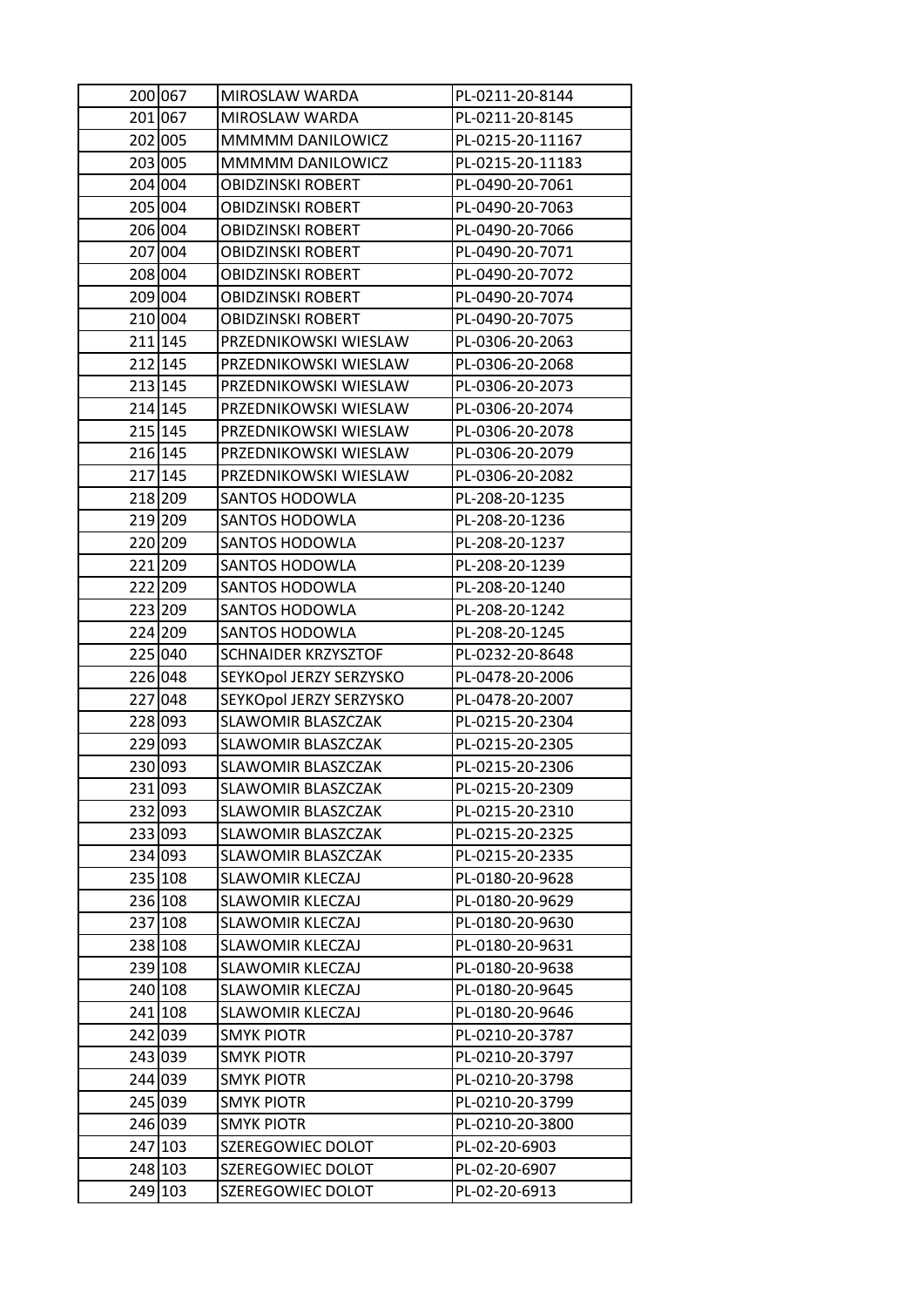| 201 067<br>MIROSLAW WARDA<br>PL-0211-20-8145<br>202 005<br>MMMMM DANILOWICZ<br>PL-0215-20-11167<br>203 005<br>MMMMM DANILOWICZ<br>PL-0215-20-11183<br>204 004<br>PL-0490-20-7061<br><b>OBIDZINSKI ROBERT</b><br>205 004<br><b>OBIDZINSKI ROBERT</b><br>PL-0490-20-7063<br>206 004<br><b>OBIDZINSKI ROBERT</b><br>PL-0490-20-7066<br>207 004<br>PL-0490-20-7071<br>OBIDZINSKI ROBERT<br>208 004<br><b>OBIDZINSKI ROBERT</b><br>PL-0490-20-7072<br>209 004<br><b>OBIDZINSKI ROBERT</b><br>PL-0490-20-7074<br>210 004<br><b>OBIDZINSKI ROBERT</b><br>PL-0490-20-7075<br>211 145<br>PRZEDNIKOWSKI WIESLAW<br>PL-0306-20-2063<br>212 145<br>PRZEDNIKOWSKI WIESLAW<br>PL-0306-20-2068<br>213 145<br>PRZEDNIKOWSKI WIESLAW<br>PL-0306-20-2073<br>214 145<br>PRZEDNIKOWSKI WIESLAW<br>PL-0306-20-2074<br>215 145<br>PRZEDNIKOWSKI WIESLAW<br>PL-0306-20-2078<br>216 145<br>PRZEDNIKOWSKI WIESLAW<br>PL-0306-20-2079<br>217 145<br>PRZEDNIKOWSKI WIESLAW<br>PL-0306-20-2082<br>218 209<br><b>SANTOS HODOWLA</b><br>PL-208-20-1235<br>219 209<br><b>SANTOS HODOWLA</b><br>PL-208-20-1236<br>220 209<br><b>SANTOS HODOWLA</b><br>PL-208-20-1237<br>221 209<br><b>SANTOS HODOWLA</b><br>PL-208-20-1239<br>222 209<br><b>SANTOS HODOWLA</b><br>PL-208-20-1240<br>223 209<br><b>SANTOS HODOWLA</b><br>PL-208-20-1242<br>224 209<br><b>SANTOS HODOWLA</b><br>PL-208-20-1245<br>225 040<br><b>SCHNAIDER KRZYSZTOF</b><br>PL-0232-20-8648<br>226 048<br>SEYKOpol JERZY SERZYSKO<br>PL-0478-20-2006<br>227 048<br>SEYKOpol JERZY SERZYSKO<br>PL-0478-20-2007<br>228 093<br>SLAWOMIR BLASZCZAK<br>PL-0215-20-2304<br>229 093<br>PL-0215-20-2305<br>SLAWOMIR BLASZCZAK<br>230 093<br>SLAWOMIR BLASZCZAK<br>PL-0215-20-2306<br>PL-0215-20-2309<br>231 093<br>SLAWOMIR BLASZCZAK<br>232 093<br>SLAWOMIR BLASZCZAK<br>PL-0215-20-2310<br>233 093<br>SLAWOMIR BLASZCZAK<br>PL-0215-20-2325<br>234 093<br>SLAWOMIR BLASZCZAK<br>PL-0215-20-2335<br>235 108<br>SLAWOMIR KLECZAJ<br>PL-0180-20-9628<br>236 108<br><b>SLAWOMIR KLECZAJ</b><br>PL-0180-20-9629<br>237 108<br>SLAWOMIR KLECZAJ<br>PL-0180-20-9630<br>238 108<br><b>SLAWOMIR KLECZAJ</b><br>PL-0180-20-9631<br>239 108<br><b>SLAWOMIR KLECZAJ</b><br>PL-0180-20-9638<br>240 108<br>SLAWOMIR KLECZAJ<br>PL-0180-20-9645<br>241 108<br>SLAWOMIR KLECZAJ<br>PL-0180-20-9646<br>242 039<br>SMYK PIOTR<br>PL-0210-20-3787<br>243 039<br><b>SMYK PIOTR</b><br>PL-0210-20-3797<br>244 039<br>SMYK PIOTR<br>PL-0210-20-3798<br>245 039<br>SMYK PIOTR<br>PL-0210-20-3799<br>246 039<br><b>SMYK PIOTR</b><br>PL-0210-20-3800<br>247 103<br>SZEREGOWIEC DOLOT<br>PL-02-20-6903<br>248 103<br>SZEREGOWIEC DOLOT<br>PL-02-20-6907 | 200 067 | MIROSLAW WARDA    | PL-0211-20-8144 |
|-------------------------------------------------------------------------------------------------------------------------------------------------------------------------------------------------------------------------------------------------------------------------------------------------------------------------------------------------------------------------------------------------------------------------------------------------------------------------------------------------------------------------------------------------------------------------------------------------------------------------------------------------------------------------------------------------------------------------------------------------------------------------------------------------------------------------------------------------------------------------------------------------------------------------------------------------------------------------------------------------------------------------------------------------------------------------------------------------------------------------------------------------------------------------------------------------------------------------------------------------------------------------------------------------------------------------------------------------------------------------------------------------------------------------------------------------------------------------------------------------------------------------------------------------------------------------------------------------------------------------------------------------------------------------------------------------------------------------------------------------------------------------------------------------------------------------------------------------------------------------------------------------------------------------------------------------------------------------------------------------------------------------------------------------------------------------------------------------------------------------------------------------------------------------------------------------------------------------------------------------------------------------------------------------------------------------------------------------------------------------------------------------------------------------------------------------------------------------------------------------------------------------------------------------------------------------------------------------------------------------------------------------------|---------|-------------------|-----------------|
|                                                                                                                                                                                                                                                                                                                                                                                                                                                                                                                                                                                                                                                                                                                                                                                                                                                                                                                                                                                                                                                                                                                                                                                                                                                                                                                                                                                                                                                                                                                                                                                                                                                                                                                                                                                                                                                                                                                                                                                                                                                                                                                                                                                                                                                                                                                                                                                                                                                                                                                                                                                                                                                       |         |                   |                 |
|                                                                                                                                                                                                                                                                                                                                                                                                                                                                                                                                                                                                                                                                                                                                                                                                                                                                                                                                                                                                                                                                                                                                                                                                                                                                                                                                                                                                                                                                                                                                                                                                                                                                                                                                                                                                                                                                                                                                                                                                                                                                                                                                                                                                                                                                                                                                                                                                                                                                                                                                                                                                                                                       |         |                   |                 |
|                                                                                                                                                                                                                                                                                                                                                                                                                                                                                                                                                                                                                                                                                                                                                                                                                                                                                                                                                                                                                                                                                                                                                                                                                                                                                                                                                                                                                                                                                                                                                                                                                                                                                                                                                                                                                                                                                                                                                                                                                                                                                                                                                                                                                                                                                                                                                                                                                                                                                                                                                                                                                                                       |         |                   |                 |
|                                                                                                                                                                                                                                                                                                                                                                                                                                                                                                                                                                                                                                                                                                                                                                                                                                                                                                                                                                                                                                                                                                                                                                                                                                                                                                                                                                                                                                                                                                                                                                                                                                                                                                                                                                                                                                                                                                                                                                                                                                                                                                                                                                                                                                                                                                                                                                                                                                                                                                                                                                                                                                                       |         |                   |                 |
|                                                                                                                                                                                                                                                                                                                                                                                                                                                                                                                                                                                                                                                                                                                                                                                                                                                                                                                                                                                                                                                                                                                                                                                                                                                                                                                                                                                                                                                                                                                                                                                                                                                                                                                                                                                                                                                                                                                                                                                                                                                                                                                                                                                                                                                                                                                                                                                                                                                                                                                                                                                                                                                       |         |                   |                 |
|                                                                                                                                                                                                                                                                                                                                                                                                                                                                                                                                                                                                                                                                                                                                                                                                                                                                                                                                                                                                                                                                                                                                                                                                                                                                                                                                                                                                                                                                                                                                                                                                                                                                                                                                                                                                                                                                                                                                                                                                                                                                                                                                                                                                                                                                                                                                                                                                                                                                                                                                                                                                                                                       |         |                   |                 |
|                                                                                                                                                                                                                                                                                                                                                                                                                                                                                                                                                                                                                                                                                                                                                                                                                                                                                                                                                                                                                                                                                                                                                                                                                                                                                                                                                                                                                                                                                                                                                                                                                                                                                                                                                                                                                                                                                                                                                                                                                                                                                                                                                                                                                                                                                                                                                                                                                                                                                                                                                                                                                                                       |         |                   |                 |
|                                                                                                                                                                                                                                                                                                                                                                                                                                                                                                                                                                                                                                                                                                                                                                                                                                                                                                                                                                                                                                                                                                                                                                                                                                                                                                                                                                                                                                                                                                                                                                                                                                                                                                                                                                                                                                                                                                                                                                                                                                                                                                                                                                                                                                                                                                                                                                                                                                                                                                                                                                                                                                                       |         |                   |                 |
|                                                                                                                                                                                                                                                                                                                                                                                                                                                                                                                                                                                                                                                                                                                                                                                                                                                                                                                                                                                                                                                                                                                                                                                                                                                                                                                                                                                                                                                                                                                                                                                                                                                                                                                                                                                                                                                                                                                                                                                                                                                                                                                                                                                                                                                                                                                                                                                                                                                                                                                                                                                                                                                       |         |                   |                 |
|                                                                                                                                                                                                                                                                                                                                                                                                                                                                                                                                                                                                                                                                                                                                                                                                                                                                                                                                                                                                                                                                                                                                                                                                                                                                                                                                                                                                                                                                                                                                                                                                                                                                                                                                                                                                                                                                                                                                                                                                                                                                                                                                                                                                                                                                                                                                                                                                                                                                                                                                                                                                                                                       |         |                   |                 |
|                                                                                                                                                                                                                                                                                                                                                                                                                                                                                                                                                                                                                                                                                                                                                                                                                                                                                                                                                                                                                                                                                                                                                                                                                                                                                                                                                                                                                                                                                                                                                                                                                                                                                                                                                                                                                                                                                                                                                                                                                                                                                                                                                                                                                                                                                                                                                                                                                                                                                                                                                                                                                                                       |         |                   |                 |
|                                                                                                                                                                                                                                                                                                                                                                                                                                                                                                                                                                                                                                                                                                                                                                                                                                                                                                                                                                                                                                                                                                                                                                                                                                                                                                                                                                                                                                                                                                                                                                                                                                                                                                                                                                                                                                                                                                                                                                                                                                                                                                                                                                                                                                                                                                                                                                                                                                                                                                                                                                                                                                                       |         |                   |                 |
|                                                                                                                                                                                                                                                                                                                                                                                                                                                                                                                                                                                                                                                                                                                                                                                                                                                                                                                                                                                                                                                                                                                                                                                                                                                                                                                                                                                                                                                                                                                                                                                                                                                                                                                                                                                                                                                                                                                                                                                                                                                                                                                                                                                                                                                                                                                                                                                                                                                                                                                                                                                                                                                       |         |                   |                 |
|                                                                                                                                                                                                                                                                                                                                                                                                                                                                                                                                                                                                                                                                                                                                                                                                                                                                                                                                                                                                                                                                                                                                                                                                                                                                                                                                                                                                                                                                                                                                                                                                                                                                                                                                                                                                                                                                                                                                                                                                                                                                                                                                                                                                                                                                                                                                                                                                                                                                                                                                                                                                                                                       |         |                   |                 |
|                                                                                                                                                                                                                                                                                                                                                                                                                                                                                                                                                                                                                                                                                                                                                                                                                                                                                                                                                                                                                                                                                                                                                                                                                                                                                                                                                                                                                                                                                                                                                                                                                                                                                                                                                                                                                                                                                                                                                                                                                                                                                                                                                                                                                                                                                                                                                                                                                                                                                                                                                                                                                                                       |         |                   |                 |
|                                                                                                                                                                                                                                                                                                                                                                                                                                                                                                                                                                                                                                                                                                                                                                                                                                                                                                                                                                                                                                                                                                                                                                                                                                                                                                                                                                                                                                                                                                                                                                                                                                                                                                                                                                                                                                                                                                                                                                                                                                                                                                                                                                                                                                                                                                                                                                                                                                                                                                                                                                                                                                                       |         |                   |                 |
|                                                                                                                                                                                                                                                                                                                                                                                                                                                                                                                                                                                                                                                                                                                                                                                                                                                                                                                                                                                                                                                                                                                                                                                                                                                                                                                                                                                                                                                                                                                                                                                                                                                                                                                                                                                                                                                                                                                                                                                                                                                                                                                                                                                                                                                                                                                                                                                                                                                                                                                                                                                                                                                       |         |                   |                 |
|                                                                                                                                                                                                                                                                                                                                                                                                                                                                                                                                                                                                                                                                                                                                                                                                                                                                                                                                                                                                                                                                                                                                                                                                                                                                                                                                                                                                                                                                                                                                                                                                                                                                                                                                                                                                                                                                                                                                                                                                                                                                                                                                                                                                                                                                                                                                                                                                                                                                                                                                                                                                                                                       |         |                   |                 |
|                                                                                                                                                                                                                                                                                                                                                                                                                                                                                                                                                                                                                                                                                                                                                                                                                                                                                                                                                                                                                                                                                                                                                                                                                                                                                                                                                                                                                                                                                                                                                                                                                                                                                                                                                                                                                                                                                                                                                                                                                                                                                                                                                                                                                                                                                                                                                                                                                                                                                                                                                                                                                                                       |         |                   |                 |
|                                                                                                                                                                                                                                                                                                                                                                                                                                                                                                                                                                                                                                                                                                                                                                                                                                                                                                                                                                                                                                                                                                                                                                                                                                                                                                                                                                                                                                                                                                                                                                                                                                                                                                                                                                                                                                                                                                                                                                                                                                                                                                                                                                                                                                                                                                                                                                                                                                                                                                                                                                                                                                                       |         |                   |                 |
|                                                                                                                                                                                                                                                                                                                                                                                                                                                                                                                                                                                                                                                                                                                                                                                                                                                                                                                                                                                                                                                                                                                                                                                                                                                                                                                                                                                                                                                                                                                                                                                                                                                                                                                                                                                                                                                                                                                                                                                                                                                                                                                                                                                                                                                                                                                                                                                                                                                                                                                                                                                                                                                       |         |                   |                 |
|                                                                                                                                                                                                                                                                                                                                                                                                                                                                                                                                                                                                                                                                                                                                                                                                                                                                                                                                                                                                                                                                                                                                                                                                                                                                                                                                                                                                                                                                                                                                                                                                                                                                                                                                                                                                                                                                                                                                                                                                                                                                                                                                                                                                                                                                                                                                                                                                                                                                                                                                                                                                                                                       |         |                   |                 |
|                                                                                                                                                                                                                                                                                                                                                                                                                                                                                                                                                                                                                                                                                                                                                                                                                                                                                                                                                                                                                                                                                                                                                                                                                                                                                                                                                                                                                                                                                                                                                                                                                                                                                                                                                                                                                                                                                                                                                                                                                                                                                                                                                                                                                                                                                                                                                                                                                                                                                                                                                                                                                                                       |         |                   |                 |
|                                                                                                                                                                                                                                                                                                                                                                                                                                                                                                                                                                                                                                                                                                                                                                                                                                                                                                                                                                                                                                                                                                                                                                                                                                                                                                                                                                                                                                                                                                                                                                                                                                                                                                                                                                                                                                                                                                                                                                                                                                                                                                                                                                                                                                                                                                                                                                                                                                                                                                                                                                                                                                                       |         |                   |                 |
|                                                                                                                                                                                                                                                                                                                                                                                                                                                                                                                                                                                                                                                                                                                                                                                                                                                                                                                                                                                                                                                                                                                                                                                                                                                                                                                                                                                                                                                                                                                                                                                                                                                                                                                                                                                                                                                                                                                                                                                                                                                                                                                                                                                                                                                                                                                                                                                                                                                                                                                                                                                                                                                       |         |                   |                 |
|                                                                                                                                                                                                                                                                                                                                                                                                                                                                                                                                                                                                                                                                                                                                                                                                                                                                                                                                                                                                                                                                                                                                                                                                                                                                                                                                                                                                                                                                                                                                                                                                                                                                                                                                                                                                                                                                                                                                                                                                                                                                                                                                                                                                                                                                                                                                                                                                                                                                                                                                                                                                                                                       |         |                   |                 |
|                                                                                                                                                                                                                                                                                                                                                                                                                                                                                                                                                                                                                                                                                                                                                                                                                                                                                                                                                                                                                                                                                                                                                                                                                                                                                                                                                                                                                                                                                                                                                                                                                                                                                                                                                                                                                                                                                                                                                                                                                                                                                                                                                                                                                                                                                                                                                                                                                                                                                                                                                                                                                                                       |         |                   |                 |
|                                                                                                                                                                                                                                                                                                                                                                                                                                                                                                                                                                                                                                                                                                                                                                                                                                                                                                                                                                                                                                                                                                                                                                                                                                                                                                                                                                                                                                                                                                                                                                                                                                                                                                                                                                                                                                                                                                                                                                                                                                                                                                                                                                                                                                                                                                                                                                                                                                                                                                                                                                                                                                                       |         |                   |                 |
|                                                                                                                                                                                                                                                                                                                                                                                                                                                                                                                                                                                                                                                                                                                                                                                                                                                                                                                                                                                                                                                                                                                                                                                                                                                                                                                                                                                                                                                                                                                                                                                                                                                                                                                                                                                                                                                                                                                                                                                                                                                                                                                                                                                                                                                                                                                                                                                                                                                                                                                                                                                                                                                       |         |                   |                 |
|                                                                                                                                                                                                                                                                                                                                                                                                                                                                                                                                                                                                                                                                                                                                                                                                                                                                                                                                                                                                                                                                                                                                                                                                                                                                                                                                                                                                                                                                                                                                                                                                                                                                                                                                                                                                                                                                                                                                                                                                                                                                                                                                                                                                                                                                                                                                                                                                                                                                                                                                                                                                                                                       |         |                   |                 |
|                                                                                                                                                                                                                                                                                                                                                                                                                                                                                                                                                                                                                                                                                                                                                                                                                                                                                                                                                                                                                                                                                                                                                                                                                                                                                                                                                                                                                                                                                                                                                                                                                                                                                                                                                                                                                                                                                                                                                                                                                                                                                                                                                                                                                                                                                                                                                                                                                                                                                                                                                                                                                                                       |         |                   |                 |
|                                                                                                                                                                                                                                                                                                                                                                                                                                                                                                                                                                                                                                                                                                                                                                                                                                                                                                                                                                                                                                                                                                                                                                                                                                                                                                                                                                                                                                                                                                                                                                                                                                                                                                                                                                                                                                                                                                                                                                                                                                                                                                                                                                                                                                                                                                                                                                                                                                                                                                                                                                                                                                                       |         |                   |                 |
|                                                                                                                                                                                                                                                                                                                                                                                                                                                                                                                                                                                                                                                                                                                                                                                                                                                                                                                                                                                                                                                                                                                                                                                                                                                                                                                                                                                                                                                                                                                                                                                                                                                                                                                                                                                                                                                                                                                                                                                                                                                                                                                                                                                                                                                                                                                                                                                                                                                                                                                                                                                                                                                       |         |                   |                 |
|                                                                                                                                                                                                                                                                                                                                                                                                                                                                                                                                                                                                                                                                                                                                                                                                                                                                                                                                                                                                                                                                                                                                                                                                                                                                                                                                                                                                                                                                                                                                                                                                                                                                                                                                                                                                                                                                                                                                                                                                                                                                                                                                                                                                                                                                                                                                                                                                                                                                                                                                                                                                                                                       |         |                   |                 |
|                                                                                                                                                                                                                                                                                                                                                                                                                                                                                                                                                                                                                                                                                                                                                                                                                                                                                                                                                                                                                                                                                                                                                                                                                                                                                                                                                                                                                                                                                                                                                                                                                                                                                                                                                                                                                                                                                                                                                                                                                                                                                                                                                                                                                                                                                                                                                                                                                                                                                                                                                                                                                                                       |         |                   |                 |
|                                                                                                                                                                                                                                                                                                                                                                                                                                                                                                                                                                                                                                                                                                                                                                                                                                                                                                                                                                                                                                                                                                                                                                                                                                                                                                                                                                                                                                                                                                                                                                                                                                                                                                                                                                                                                                                                                                                                                                                                                                                                                                                                                                                                                                                                                                                                                                                                                                                                                                                                                                                                                                                       |         |                   |                 |
|                                                                                                                                                                                                                                                                                                                                                                                                                                                                                                                                                                                                                                                                                                                                                                                                                                                                                                                                                                                                                                                                                                                                                                                                                                                                                                                                                                                                                                                                                                                                                                                                                                                                                                                                                                                                                                                                                                                                                                                                                                                                                                                                                                                                                                                                                                                                                                                                                                                                                                                                                                                                                                                       |         |                   |                 |
|                                                                                                                                                                                                                                                                                                                                                                                                                                                                                                                                                                                                                                                                                                                                                                                                                                                                                                                                                                                                                                                                                                                                                                                                                                                                                                                                                                                                                                                                                                                                                                                                                                                                                                                                                                                                                                                                                                                                                                                                                                                                                                                                                                                                                                                                                                                                                                                                                                                                                                                                                                                                                                                       |         |                   |                 |
|                                                                                                                                                                                                                                                                                                                                                                                                                                                                                                                                                                                                                                                                                                                                                                                                                                                                                                                                                                                                                                                                                                                                                                                                                                                                                                                                                                                                                                                                                                                                                                                                                                                                                                                                                                                                                                                                                                                                                                                                                                                                                                                                                                                                                                                                                                                                                                                                                                                                                                                                                                                                                                                       |         |                   |                 |
|                                                                                                                                                                                                                                                                                                                                                                                                                                                                                                                                                                                                                                                                                                                                                                                                                                                                                                                                                                                                                                                                                                                                                                                                                                                                                                                                                                                                                                                                                                                                                                                                                                                                                                                                                                                                                                                                                                                                                                                                                                                                                                                                                                                                                                                                                                                                                                                                                                                                                                                                                                                                                                                       |         |                   |                 |
|                                                                                                                                                                                                                                                                                                                                                                                                                                                                                                                                                                                                                                                                                                                                                                                                                                                                                                                                                                                                                                                                                                                                                                                                                                                                                                                                                                                                                                                                                                                                                                                                                                                                                                                                                                                                                                                                                                                                                                                                                                                                                                                                                                                                                                                                                                                                                                                                                                                                                                                                                                                                                                                       |         |                   |                 |
|                                                                                                                                                                                                                                                                                                                                                                                                                                                                                                                                                                                                                                                                                                                                                                                                                                                                                                                                                                                                                                                                                                                                                                                                                                                                                                                                                                                                                                                                                                                                                                                                                                                                                                                                                                                                                                                                                                                                                                                                                                                                                                                                                                                                                                                                                                                                                                                                                                                                                                                                                                                                                                                       |         |                   |                 |
|                                                                                                                                                                                                                                                                                                                                                                                                                                                                                                                                                                                                                                                                                                                                                                                                                                                                                                                                                                                                                                                                                                                                                                                                                                                                                                                                                                                                                                                                                                                                                                                                                                                                                                                                                                                                                                                                                                                                                                                                                                                                                                                                                                                                                                                                                                                                                                                                                                                                                                                                                                                                                                                       |         |                   |                 |
|                                                                                                                                                                                                                                                                                                                                                                                                                                                                                                                                                                                                                                                                                                                                                                                                                                                                                                                                                                                                                                                                                                                                                                                                                                                                                                                                                                                                                                                                                                                                                                                                                                                                                                                                                                                                                                                                                                                                                                                                                                                                                                                                                                                                                                                                                                                                                                                                                                                                                                                                                                                                                                                       |         |                   |                 |
|                                                                                                                                                                                                                                                                                                                                                                                                                                                                                                                                                                                                                                                                                                                                                                                                                                                                                                                                                                                                                                                                                                                                                                                                                                                                                                                                                                                                                                                                                                                                                                                                                                                                                                                                                                                                                                                                                                                                                                                                                                                                                                                                                                                                                                                                                                                                                                                                                                                                                                                                                                                                                                                       |         |                   |                 |
|                                                                                                                                                                                                                                                                                                                                                                                                                                                                                                                                                                                                                                                                                                                                                                                                                                                                                                                                                                                                                                                                                                                                                                                                                                                                                                                                                                                                                                                                                                                                                                                                                                                                                                                                                                                                                                                                                                                                                                                                                                                                                                                                                                                                                                                                                                                                                                                                                                                                                                                                                                                                                                                       |         |                   |                 |
|                                                                                                                                                                                                                                                                                                                                                                                                                                                                                                                                                                                                                                                                                                                                                                                                                                                                                                                                                                                                                                                                                                                                                                                                                                                                                                                                                                                                                                                                                                                                                                                                                                                                                                                                                                                                                                                                                                                                                                                                                                                                                                                                                                                                                                                                                                                                                                                                                                                                                                                                                                                                                                                       |         |                   |                 |
|                                                                                                                                                                                                                                                                                                                                                                                                                                                                                                                                                                                                                                                                                                                                                                                                                                                                                                                                                                                                                                                                                                                                                                                                                                                                                                                                                                                                                                                                                                                                                                                                                                                                                                                                                                                                                                                                                                                                                                                                                                                                                                                                                                                                                                                                                                                                                                                                                                                                                                                                                                                                                                                       |         |                   |                 |
| 249 103                                                                                                                                                                                                                                                                                                                                                                                                                                                                                                                                                                                                                                                                                                                                                                                                                                                                                                                                                                                                                                                                                                                                                                                                                                                                                                                                                                                                                                                                                                                                                                                                                                                                                                                                                                                                                                                                                                                                                                                                                                                                                                                                                                                                                                                                                                                                                                                                                                                                                                                                                                                                                                               |         | SZEREGOWIEC DOLOT | PL-02-20-6913   |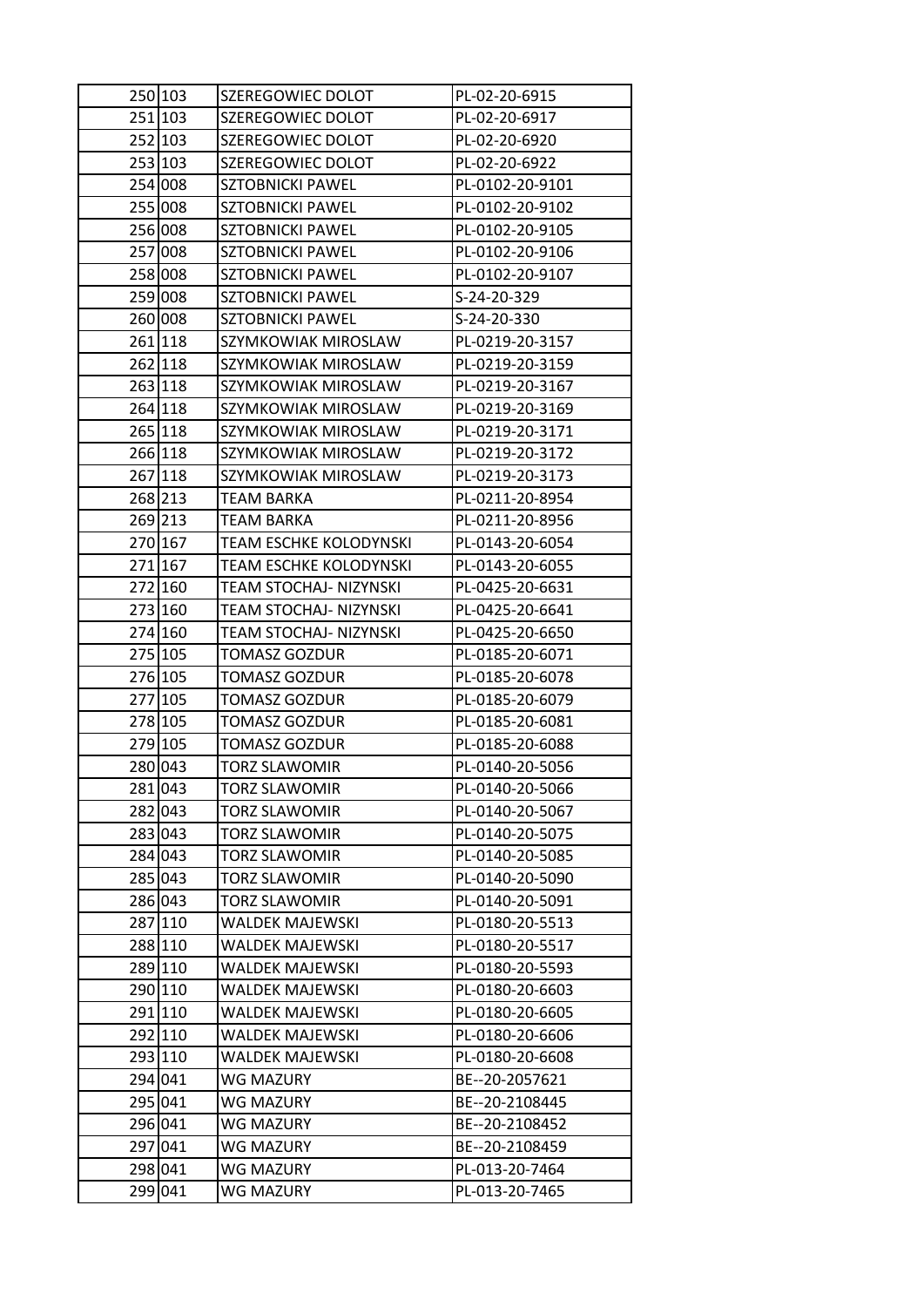| 250 103 | SZEREGOWIEC DOLOT             | PL-02-20-6915   |
|---------|-------------------------------|-----------------|
| 251 103 | SZEREGOWIEC DOLOT             | PL-02-20-6917   |
| 252 103 | SZEREGOWIEC DOLOT             | PL-02-20-6920   |
| 253 103 | SZEREGOWIEC DOLOT             | PL-02-20-6922   |
| 254 008 | <b>SZTOBNICKI PAWEL</b>       | PL-0102-20-9101 |
| 255 008 | SZTOBNICKI PAWEL              | PL-0102-20-9102 |
| 256 008 | <b>SZTOBNICKI PAWEL</b>       | PL-0102-20-9105 |
| 257 008 | <b>SZTOBNICKI PAWEL</b>       | PL-0102-20-9106 |
| 258 008 | <b>SZTOBNICKI PAWEL</b>       | PL-0102-20-9107 |
| 259 008 | <b>SZTOBNICKI PAWEL</b>       | S-24-20-329     |
| 260 008 | <b>SZTOBNICKI PAWEL</b>       | S-24-20-330     |
| 261 118 | SZYMKOWIAK MIROSLAW           | PL-0219-20-3157 |
| 262 118 | SZYMKOWIAK MIROSLAW           | PL-0219-20-3159 |
| 263 118 | SZYMKOWIAK MIROSLAW           | PL-0219-20-3167 |
| 264 118 | SZYMKOWIAK MIROSLAW           | PL-0219-20-3169 |
| 265 118 | SZYMKOWIAK MIROSLAW           | PL-0219-20-3171 |
| 266 118 | SZYMKOWIAK MIROSLAW           | PL-0219-20-3172 |
| 267 118 | SZYMKOWIAK MIROSLAW           | PL-0219-20-3173 |
| 268 213 | TEAM BARKA                    | PL-0211-20-8954 |
| 269 213 | <b>TEAM BARKA</b>             | PL-0211-20-8956 |
| 270 167 | TEAM ESCHKE KOLODYNSKI        | PL-0143-20-6054 |
| 271 167 | <b>TEAM ESCHKE KOLODYNSKI</b> | PL-0143-20-6055 |
| 272 160 | TEAM STOCHAJ- NIZYNSKI        | PL-0425-20-6631 |
| 273 160 | TEAM STOCHAJ- NIZYNSKI        | PL-0425-20-6641 |
| 274 160 | TEAM STOCHAJ- NIZYNSKI        | PL-0425-20-6650 |
| 275 105 | <b>TOMASZ GOZDUR</b>          | PL-0185-20-6071 |
| 276 105 | <b>TOMASZ GOZDUR</b>          | PL-0185-20-6078 |
| 277 105 | TOMASZ GOZDUR                 | PL-0185-20-6079 |
| 278 105 | <b>TOMASZ GOZDUR</b>          | PL-0185-20-6081 |
| 279 105 | <b>TOMASZ GOZDUR</b>          | PL-0185-20-6088 |
| 280 043 | <b>TORZ SLAWOMIR</b>          | PL-0140-20-5056 |
| 281 043 | <b>TORZ SLAWOMIR</b>          | PL-0140-20-5066 |
| 282 043 | TORZ SLAWOMIR                 | PL-0140-20-5067 |
| 283 043 | <b>TORZ SLAWOMIR</b>          | PL-0140-20-5075 |
| 284 043 | <b>TORZ SLAWOMIR</b>          | PL-0140-20-5085 |
| 285 043 | TORZ SLAWOMIR                 | PL-0140-20-5090 |
| 286 043 | <b>TORZ SLAWOMIR</b>          | PL-0140-20-5091 |
| 287 110 | WALDEK MAJEWSKI               | PL-0180-20-5513 |
| 288 110 | <b>WALDEK MAJEWSKI</b>        | PL-0180-20-5517 |
| 289 110 | WALDEK MAJEWSKI               | PL-0180-20-5593 |
| 290 110 | WALDEK MAJEWSKI               | PL-0180-20-6603 |
| 291 110 | <b>WALDEK MAJEWSKI</b>        | PL-0180-20-6605 |
| 292 110 | WALDEK MAJEWSKI               | PL-0180-20-6606 |
| 293 110 | WALDEK MAJEWSKI               | PL-0180-20-6608 |
| 294 041 | WG MAZURY                     | BE--20-2057621  |
| 295 041 | WG MAZURY                     | BE--20-2108445  |
| 296 041 | WG MAZURY                     | BE--20-2108452  |
| 297 041 | WG MAZURY                     | BE--20-2108459  |
| 298 041 | WG MAZURY                     | PL-013-20-7464  |
| 299 041 | WG MAZURY                     | PL-013-20-7465  |